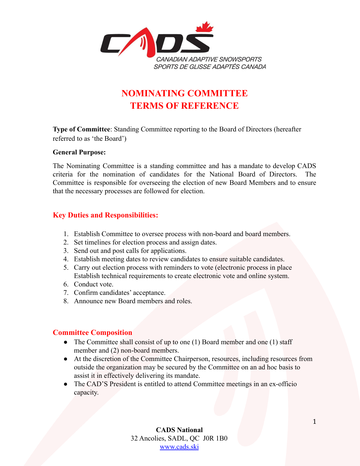

# **NOMINATING COMMITTEE TERMS OF REFERENCE**

**Type of Committee**: Standing Committee reporting to the Board of Directors (hereafter referred to as 'the Board')

#### **General Purpose:**

The Nominating Committee is a standing committee and has a mandate to develop CADS criteria for the nomination of candidates for the National Board of Directors. The Committee is responsible for overseeing the election of new Board Members and to ensure that the necessary processes are followed for election.

## **Key Duties and Responsibilities:**

- 1. Establish Committee to oversee process with non-board and board members.
- 2. Set timelines for election process and assign dates.
- 3. Send out and post calls for applications.
- 4. Establish meeting dates to review candidates to ensure suitable candidates.
- 5. Carry out election process with reminders to vote (electronic process in place Establish technical requirements to create electronic vote and online system.
- 6. Conduct vote.
- 7. Confirm candidates' acceptance.
- 8. Announce new Board members and roles.

### **Committee Composition**

- The Committee shall consist of up to one (1) Board member and one (1) staff member and (2) non-board members.
- At the discretion of the Committee Chairperson, resources, including resources from outside the organization may be secured by the Committee on an ad hoc basis to assist it in effectively delivering its mandate.
- The CAD'S President is entitled to attend Committee meetings in an ex-officio capacity.